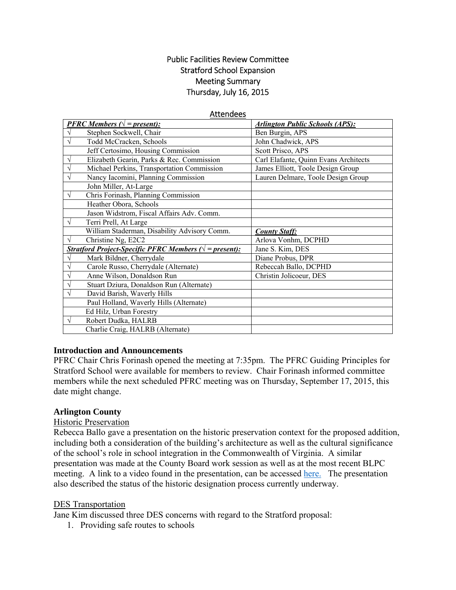## Public Facilities Review Committee Stratford School Expansion Meeting Summary Thursday, July 16, 2015

#### Attendees

| <b>PFRC</b> Members ( $\sqrt{}$ = present):                                                    | <b>Arlington Public Schools (APS):</b> |
|------------------------------------------------------------------------------------------------|----------------------------------------|
| Stephen Sockwell, Chair                                                                        | Ben Burgin, APS                        |
| Todd McCracken, Schools<br>$\sqrt{}$                                                           | John Chadwick, APS                     |
| Jeff Certosimo, Housing Commission                                                             | Scott Prisco, APS                      |
| Elizabeth Gearin, Parks & Rec. Commission<br>V                                                 | Carl Elafante, Quinn Evans Architects  |
| Michael Perkins, Transportation Commission<br>$\sqrt{}$                                        | James Elliott, Toole Design Group      |
| Nancy Iacomini, Planning Commission<br>$\sqrt{ }$                                              | Lauren Delmare, Toole Design Group     |
| John Miller, At-Large                                                                          |                                        |
| Chris Forinash, Planning Commission<br>$\sqrt{ }$                                              |                                        |
| Heather Obora, Schools                                                                         |                                        |
| Jason Widstrom, Fiscal Affairs Adv. Comm.                                                      |                                        |
| Terri Prell, At Large<br>$\sqrt{ }$                                                            |                                        |
|                                                                                                |                                        |
| William Staderman, Disability Advisory Comm.                                                   | <b>County Staff:</b>                   |
| Christine Ng, E2C2<br>$\sqrt{}$                                                                | Arlova Vonhm, DCPHD                    |
| <i><u><b>Stratford Project-Specific PFRC Members (<math>\sqrt{}</math> = present):</b></u></i> | Jane S. Kim, DES                       |
| Mark Bildner, Cherrydale<br>$\sqrt{}$                                                          | Diane Probus, DPR                      |
| Carole Russo, Cherrydale (Alternate)<br>V                                                      | Rebeccah Ballo, DCPHD                  |
| Anne Wilson, Donaldson Run<br>V                                                                | Christin Jolicoeur, DES                |
| Stuart Dziura, Donaldson Run (Alternate)<br>$\sqrt{}$                                          |                                        |
| David Barish, Waverly Hills<br>V                                                               |                                        |
| Paul Holland, Waverly Hills (Alternate)                                                        |                                        |
| Ed Hilz, Urban Forestry                                                                        |                                        |
| Robert Dudka, HALRB<br>$\sqrt{}$                                                               |                                        |

#### **Introduction and Announcements**

PFRC Chair Chris Forinash opened the meeting at 7:35pm. The PFRC Guiding Principles for Stratford School were available for members to review. Chair Forinash informed committee members while the next scheduled PFRC meeting was on Thursday, September 17, 2015, this date might change.

#### **Arlington County**

#### Historic Preservation

Rebecca Ballo gave a presentation on the historic preservation context for the proposed addition, including both a consideration of the building's architecture as well as the cultural significance of the school's role in school integration in the Commonwealth of Virginia. A similar presentation was made at the County Board work session as well as at the most recent BLPC meeting. A link to a video found in the presentation, can be accessed here. The presentation also described the status of the historic designation process currently underway.

#### DES Transportation

Jane Kim discussed three DES concerns with regard to the Stratford proposal:

1. Providing safe routes to schools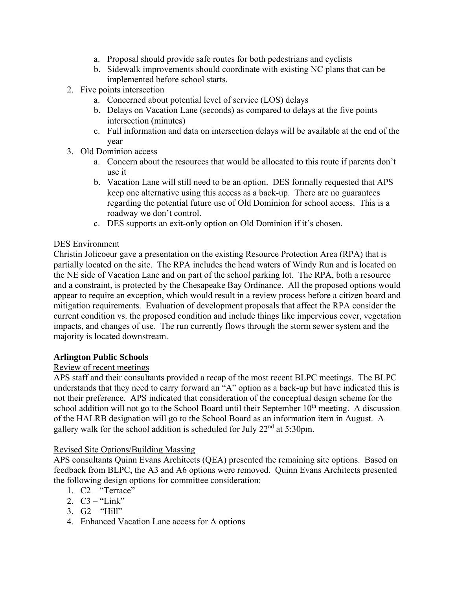- a. Proposal should provide safe routes for both pedestrians and cyclists
- b. Sidewalk improvements should coordinate with existing NC plans that can be implemented before school starts.
- 2. Five points intersection
	- a. Concerned about potential level of service (LOS) delays
	- b. Delays on Vacation Lane (seconds) as compared to delays at the five points intersection (minutes)
	- c. Full information and data on intersection delays will be available at the end of the year
- 3. Old Dominion access
	- a. Concern about the resources that would be allocated to this route if parents don't use it
	- b. Vacation Lane will still need to be an option. DES formally requested that APS keep one alternative using this access as a back-up. There are no guarantees regarding the potential future use of Old Dominion for school access. This is a roadway we don't control.
	- c. DES supports an exit-only option on Old Dominion if it's chosen.

## DES Environment

Christin Jolicoeur gave a presentation on the existing Resource Protection Area (RPA) that is partially located on the site. The RPA includes the head waters of Windy Run and is located on the NE side of Vacation Lane and on part of the school parking lot. The RPA, both a resource and a constraint, is protected by the Chesapeake Bay Ordinance. All the proposed options would appear to require an exception, which would result in a review process before a citizen board and mitigation requirements. Evaluation of development proposals that affect the RPA consider the current condition vs. the proposed condition and include things like impervious cover, vegetation impacts, and changes of use. The run currently flows through the storm sewer system and the majority is located downstream.

## **Arlington Public Schools**

## Review of recent meetings

APS staff and their consultants provided a recap of the most recent BLPC meetings. The BLPC understands that they need to carry forward an "A" option as a back-up but have indicated this is not their preference. APS indicated that consideration of the conceptual design scheme for the school addition will not go to the School Board until their September  $10<sup>th</sup>$  meeting. A discussion of the HALRB designation will go to the School Board as an information item in August. A gallery walk for the school addition is scheduled for July  $22<sup>nd</sup>$  at 5:30pm.

## Revised Site Options/Building Massing

APS consultants Quinn Evans Architects (QEA) presented the remaining site options. Based on feedback from BLPC, the A3 and A6 options were removed. Quinn Evans Architects presented the following design options for committee consideration:

- 1.  $C2 -$  "Terrace"
- 2.  $C3 "Link"$
- 3.  $G2 "Hill"$
- 4. Enhanced Vacation Lane access for A options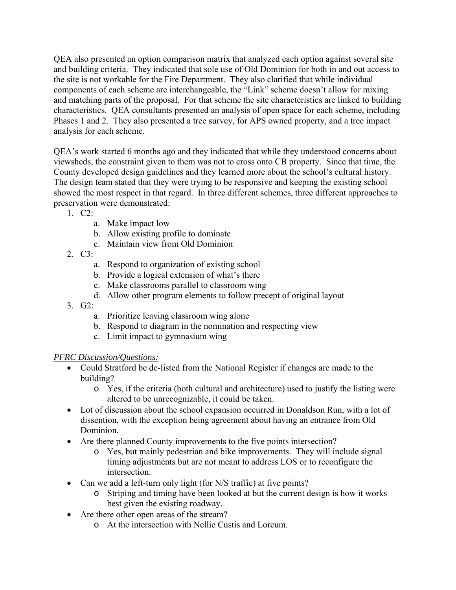QEA also presented an option comparison matrix that analyzed each option against several site and building criteria. They indicated that sole use of Old Dominion for both in and out access to the site is not workable for the Fire Department. They also clarified that while individual components of each scheme are interchangeable, the "Link" scheme doesn't allow for mixing and matching parts of the proposal. For that scheme the site characteristics are linked to building characteristics. QEA consultants presented an analysis of open space for each scheme, including Phases 1 and 2. They also presented a tree survey, for APS owned property, and a tree impact analysis for each scheme.

QEA's work started 6 months ago and they indicated that while they understood concerns about viewsheds, the constraint given to them was not to cross onto CB property. Since that time, the County developed design guidelines and they learned more about the school's cultural history. The design team stated that they were trying to be responsive and keeping the existing school showed the most respect in that regard. In three different schemes, three different approaches to preservation were demonstrated:

- 1. C2:
	- a. Make impact low
	- b. Allow existing profile to dominate
	- c. Maintain view from Old Dominion
- 2.  $C3$ 
	- a. Respond to organization of existing school
	- b. Provide a logical extension of what's there
	- c. Make classrooms parallel to classroom wing
	- d. Allow other program elements to follow precept of original layout
- $3 \text{ } G2$ 
	- a. Prioritize leaving classroom wing alone
	- b. Respond to diagram in the nomination and respecting view
	- c. Limit impact to gymnasium wing

# *PFRC Discussion/Questions:*

- Could Stratford be de-listed from the National Register if changes are made to the building?
	- o Yes, if the criteria (both cultural and architecture) used to justify the listing were altered to be unrecognizable, it could be taken.
- Lot of discussion about the school expansion occurred in Donaldson Run, with a lot of dissention, with the exception being agreement about having an entrance from Old Dominion.
- Are there planned County improvements to the five points intersection?
	- o Yes, but mainly pedestrian and bike improvements. They will include signal timing adjustments but are not meant to address LOS or to reconfigure the intersection.
- Can we add a left-turn only light (for N/S traffic) at five points?
	- o Striping and timing have been looked at but the current design is how it works best given the existing roadway.
- Are there other open areas of the stream?
	- o At the intersection with Nellie Custis and Lorcum.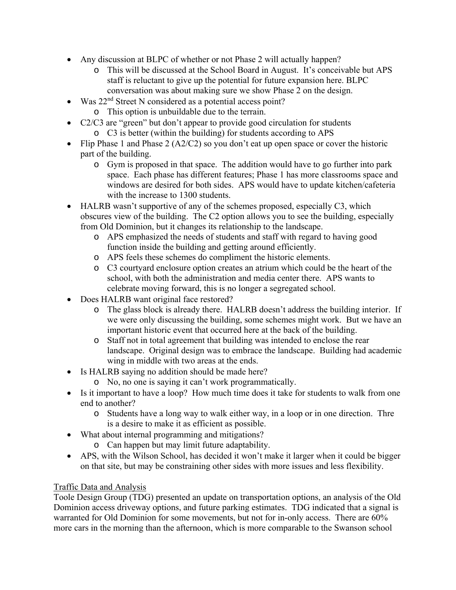- Any discussion at BLPC of whether or not Phase 2 will actually happen?
	- o This will be discussed at the School Board in August. It's conceivable but APS staff is reluctant to give up the potential for future expansion here. BLPC conversation was about making sure we show Phase 2 on the design.
- Was  $22<sup>nd</sup>$  Street N considered as a potential access point?
	- o This option is unbuildable due to the terrain.
- C2/C3 are "green" but don't appear to provide good circulation for students o C3 is better (within the building) for students according to APS
- Flip Phase 1 and Phase 2 (A2/C2) so you don't eat up open space or cover the historic part of the building.
	- o Gym is proposed in that space. The addition would have to go further into park space. Each phase has different features; Phase 1 has more classrooms space and windows are desired for both sides. APS would have to update kitchen/cafeteria with the increase to 1300 students.
- HALRB wasn't supportive of any of the schemes proposed, especially C3, which obscures view of the building. The C2 option allows you to see the building, especially from Old Dominion, but it changes its relationship to the landscape.
	- o APS emphasized the needs of students and staff with regard to having good function inside the building and getting around efficiently.
	- o APS feels these schemes do compliment the historic elements.
	- o C3 courtyard enclosure option creates an atrium which could be the heart of the school, with both the administration and media center there. APS wants to celebrate moving forward, this is no longer a segregated school.
- Does HALRB want original face restored?
	- o The glass block is already there. HALRB doesn't address the building interior. If we were only discussing the building, some schemes might work. But we have an important historic event that occurred here at the back of the building.
	- o Staff not in total agreement that building was intended to enclose the rear landscape. Original design was to embrace the landscape. Building had academic wing in middle with two areas at the ends.
- Is HALRB saying no addition should be made here?
	- o No, no one is saying it can't work programmatically.
- Is it important to have a loop? How much time does it take for students to walk from one end to another?
	- o Students have a long way to walk either way, in a loop or in one direction. Thre is a desire to make it as efficient as possible.
- What about internal programming and mitigations?
	- o Can happen but may limit future adaptability.
- APS, with the Wilson School, has decided it won't make it larger when it could be bigger on that site, but may be constraining other sides with more issues and less flexibility.

# Traffic Data and Analysis

Toole Design Group (TDG) presented an update on transportation options, an analysis of the Old Dominion access driveway options, and future parking estimates. TDG indicated that a signal is warranted for Old Dominion for some movements, but not for in-only access. There are 60% more cars in the morning than the afternoon, which is more comparable to the Swanson school